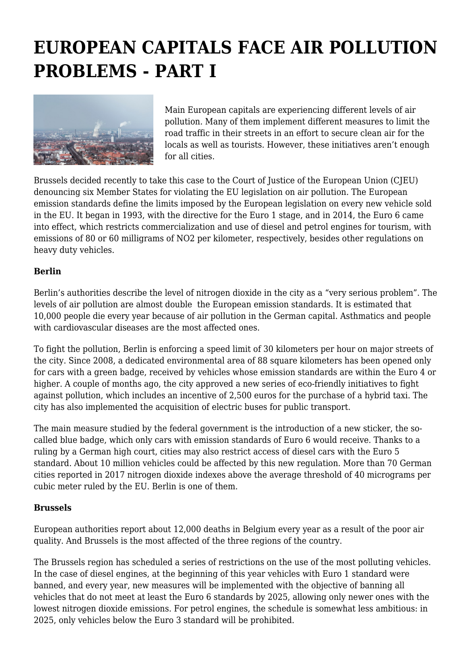## **EUROPEAN CAPITALS FACE AIR POLLUTION PROBLEMS - PART I**



Main European capitals are experiencing different levels of air pollution. Many of them implement different measures to limit the road traffic in their streets in an effort to secure clean air for the locals as well as tourists. However, these initiatives aren't enough for all cities.

Brussels decided recently to take this case to the Court of Justice of the European Union (CJEU) denouncing six Member States for violating the EU legislation on air pollution. The European emission standards define the limits imposed by the European legislation on every new vehicle sold in the EU. It began in 1993, with the directive for the Euro 1 stage, and in 2014, the Euro 6 came into effect, which restricts commercialization and use of diesel and petrol engines for tourism, with emissions of 80 or 60 milligrams of NO2 per kilometer, respectively, besides other regulations on heavy duty vehicles.

## **Berlin**

Berlin's authorities describe the level of nitrogen dioxide in the city as a "very serious problem". The levels of air pollution are almost double the European emission standards. It is estimated that 10,000 people die every year because of air pollution in the German capital. Asthmatics and people with cardiovascular diseases are the most affected ones.

To fight the pollution, Berlin is enforcing a speed limit of 30 kilometers per hour on major streets of the city. Since 2008, a dedicated environmental area of 88 square kilometers has been opened only for cars with a green badge, received by vehicles whose emission standards are within the Euro 4 or higher. A couple of months ago, the city approved a new series of eco-friendly initiatives to fight against pollution, which includes an incentive of 2,500 euros for the purchase of a hybrid taxi. The city has also implemented the acquisition of electric buses for public transport.

The main measure studied by the federal government is the introduction of a new sticker, the socalled blue badge, which only cars with emission standards of Euro 6 would receive. Thanks to a ruling by a German high court, cities may also restrict access of diesel cars with the Euro 5 standard. About 10 million vehicles could be affected by this new regulation. More than 70 German cities reported in 2017 nitrogen dioxide indexes above the average threshold of 40 micrograms per cubic meter ruled by the EU. Berlin is one of them.

## **Brussels**

European authorities report about 12,000 deaths in Belgium every year as a result of the poor air quality. And Brussels is the most affected of the three regions of the country.

The Brussels region has scheduled a series of restrictions on the use of the most polluting vehicles. In the case of diesel engines, at the beginning of this year vehicles with Euro 1 standard were banned, and every year, new measures will be implemented with the objective of banning all vehicles that do not meet at least the Euro 6 standards by 2025, allowing only newer ones with the lowest nitrogen dioxide emissions. For petrol engines, the schedule is somewhat less ambitious: in 2025, only vehicles below the Euro 3 standard will be prohibited.